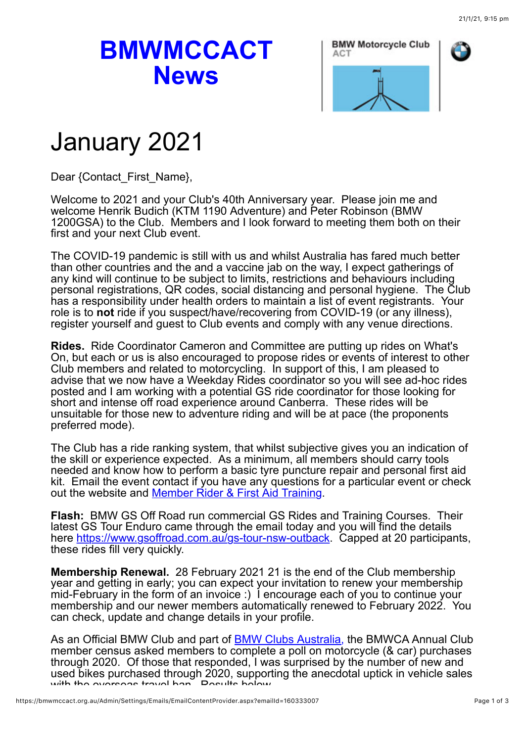## **BMWMCCACT News**



## January 2021

Dear {Contact\_First\_Name},

Welcome to 2021 and your Club's 40th Anniversary year. Please join me and welcome Henrik Budich (KTM 1190 Adventure) and Peter Robinson (BMW 1200GSA) to the Club. Members and I look forward to meeting them both on their first and your next Club event.

The COVID-19 pandemic is still with us and whilst Australia has fared much better than other countries and the and a vaccine jab on the way, I expect gatherings of any kind will continue to be subject to limits, restrictions and behaviours including personal registrations, QR codes, social distancing and personal hygiene. The Club has a responsibility under health orders to maintain a list of event registrants. Your role is to **not** ride if you suspect/have/recovering from COVID-19 (or any illness), register yourself and guest to Club events and comply with any venue directions.

**Rides.** Ride Coordinator Cameron and Committee are putting up rides on What's On, but each or us is also encouraged to propose rides or events of interest to other Club members and related to motorcycling. In support of this, I am pleased to advise that we now have a Weekday Rides coordinator so you will see ad-hoc rides posted and I am working with a potential GS ride coordinator for those looking for short and intense off road experience around Canberra. These rides will be unsuitable for those new to adventure riding and will be at pace (the proponents preferred mode).

The Club has a ride ranking system, that whilst subjective gives you an indication of the skill or experience expected. As a minimum, all members should carry tools needed and know how to perform a basic tyre puncture repair and personal first aid kit. Email the event contact if you have any questions for a particular event or check out the website and [Member Rider & First Aid Training](https://bmwmccact.org.au/Member-Rider-Training).

**Flash:** BMW GS Off Road run commercial GS Rides and Training Courses. Their latest GS Tour Enduro came through the email today and you will find the details here <https://www.gsoffroad.com.au/gs-tour-nsw-outback>. Capped at 20 participants, these rides fill very quickly.

**Membership Renewal.** 28 February 2021 21 is the end of the Club membership year and getting in early; you can expect your invitation to renew your membership mid-February in the form of an invoice :) I encourage each of you to continue your membership and our newer members automatically renewed to February 2022. You can check, update and change details in your profile.

As an Official BMW Club and part of [BMW Clubs Australia,](https://www.bmwclubsaustralia.org.au/) the BMWCA Annual Club member census asked members to complete a poll on motorcycle (& car) purchases through 2020. Of those that responded, I was surprised by the number of new and used bikes purchased through 2020, supporting the anecdotal uptick in vehicle sales with the overcoas travel ban. Desults below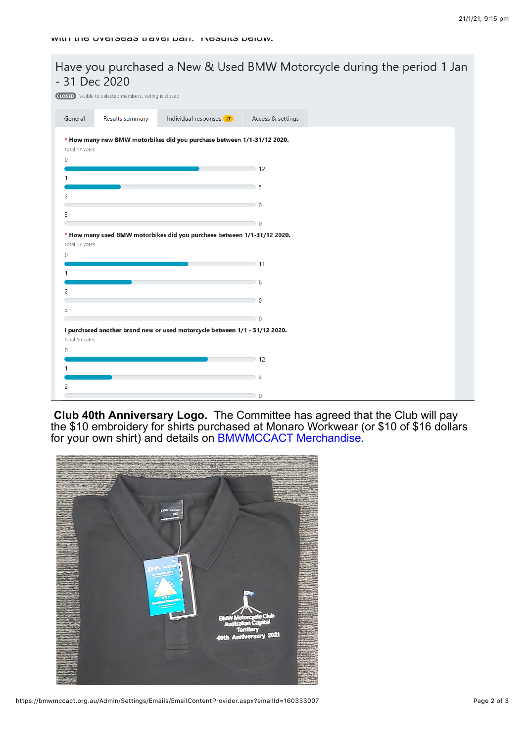## - 31 Dec 2020 **CLOSED** Visible to selected members. Voting is closed General Results summary Individual responses (17) Access & settings \* How many new BMW motorbikes did you purchase between 1/1-31/12 2020. Total 17 votes  $\theta$  $\supset$  12  $5<sup>5</sup>$  $\overline{c}$  $\Box$  0  $\overline{a}$  $\overline{\phantom{0}}$  0 \* How many used BMW motorbikes did you purchase between 1/1-31/12 2020. Total 17 votes  $\Omega$  $\supset$  11  $6$  $\overline{z}$  $\overline{0}$  $\overline{3}$ <sup>+</sup>  $\overline{0}$ I purchased another brand new or used motorcycle between 1/1 - 31/12 2020. Total 16 votes  $\theta$  $\supset$  12 1  $\overline{4}$  $2+$  $\,0\,$

Have you purchased a New & Used BMW Motorcycle during the period 1 Jan

**Club 40th Anniversary Logo.** The Committee has agreed that the Club will pay the \$10 embroidery for shirts purchased at Monaro Workwear (or \$10 of \$16 dollars for your own shirt) and details on **BMWMCCACT Merchandise**.



```
https://bmwmccact.org.au/Admin/Settings/Emails/EmailContentProvider.aspx?emailId=160333007 Page 2 of 3
```